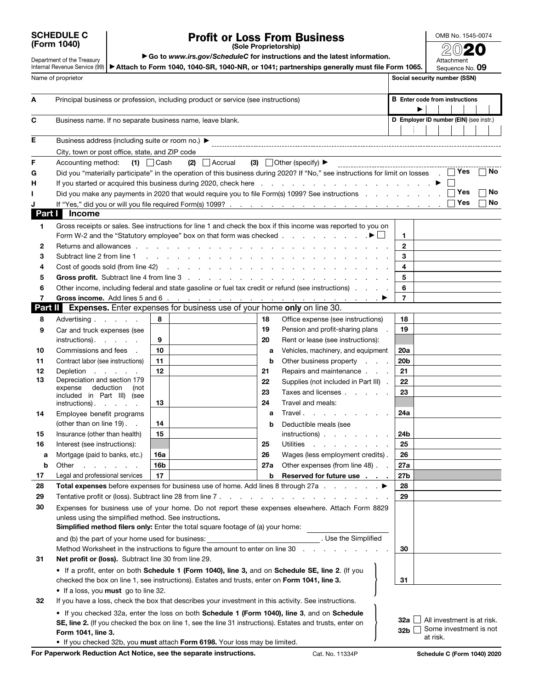| <b>SCHEDULE C</b> |  |
|-------------------|--|
| (Form 1040)       |  |

## Profit or Loss From Business

OMB No. 1545-0074 2020

Department of the Treasury

▶ Go to *www.irs.gov/ScheduleC* for instructions and the latest information.

Internal Revenue Service (99) | ▶ Attach to Form 1040, 1040-SR, 1040-NR, or 1041; partnerships generally must file Form 1065. Attachment Sequence No. 09

|              | Name of proprietor                                                                |                                                                                               |                                                                                                                                                                                                                           |                 |                                            | Ocyucince ivo. OU<br>Social security number (SSN)    |     |    |
|--------------|-----------------------------------------------------------------------------------|-----------------------------------------------------------------------------------------------|---------------------------------------------------------------------------------------------------------------------------------------------------------------------------------------------------------------------------|-----------------|--------------------------------------------|------------------------------------------------------|-----|----|
| Α            | Principal business or profession, including product or service (see instructions) |                                                                                               |                                                                                                                                                                                                                           |                 | <b>B</b> Enter code from instructions<br>▶ |                                                      |     |    |
| С            | Business name. If no separate business name, leave blank.                         |                                                                                               |                                                                                                                                                                                                                           |                 |                                            | D Employer ID number (EIN) (see instr.)              |     |    |
| E            | Business address (including suite or room no.) ▶                                  |                                                                                               |                                                                                                                                                                                                                           |                 |                                            |                                                      |     |    |
|              | City, town or post office, state, and ZIP code                                    |                                                                                               |                                                                                                                                                                                                                           |                 |                                            |                                                      |     |    |
| F            | Accounting method:                                                                | $(2)$ Accrual<br>$(1)$ $\Box$ Cash                                                            | (3) $\Box$ Other (specify) $\blacktriangleright$<br>------------------------------------                                                                                                                                  |                 |                                            |                                                      |     |    |
| G            |                                                                                   |                                                                                               | Did you "materially participate" in the operation of this business during 2020? If "No," see instructions for limit on losses .                                                                                           |                 |                                            |                                                      | Yes | No |
| Н            |                                                                                   |                                                                                               |                                                                                                                                                                                                                           |                 |                                            |                                                      |     |    |
| ı            |                                                                                   |                                                                                               | Did you make any payments in 2020 that would require you to file Form(s) 1099? See instructions                                                                                                                           |                 |                                            |                                                      | Yes | No |
|              |                                                                                   |                                                                                               |                                                                                                                                                                                                                           |                 |                                            |                                                      | Yes | No |
| Part I       | <b>Income</b>                                                                     |                                                                                               |                                                                                                                                                                                                                           |                 |                                            |                                                      |     |    |
| 1            |                                                                                   |                                                                                               | Gross receipts or sales. See instructions for line 1 and check the box if this income was reported to you on<br>Form W-2 and the "Statutory employee" box on that form was checked $\ldots$ , $\ldots$ , $\ldots$         | $\mathbf{1}$    |                                            |                                                      |     |    |
| 2            | Returns and allowances                                                            |                                                                                               |                                                                                                                                                                                                                           | $\mathbf{2}$    |                                            |                                                      |     |    |
| 3            | Subtract line 2 from line 1                                                       | .                                                                                             |                                                                                                                                                                                                                           | 3               |                                            |                                                      |     |    |
| 4            |                                                                                   | Cost of goods sold (from line 42) $\ldots$                                                    |                                                                                                                                                                                                                           | 4               |                                            |                                                      |     |    |
| 5            |                                                                                   |                                                                                               |                                                                                                                                                                                                                           | 5               |                                            |                                                      |     |    |
| 6            |                                                                                   |                                                                                               | Other income, including federal and state gasoline or fuel tax credit or refund (see instructions)                                                                                                                        | 6               |                                            |                                                      |     |    |
| 7<br>Part II |                                                                                   | Expenses. Enter expenses for business use of your home only on line 30.                       | Gross income. Add lines 5 and 6 $\ldots$ $\ldots$ $\ldots$ $\ldots$ $\ldots$ $\ldots$ $\ldots$ $\ldots$                                                                                                                   | $\overline{7}$  |                                            |                                                      |     |    |
|              |                                                                                   | 8                                                                                             | 18                                                                                                                                                                                                                        | 18              |                                            |                                                      |     |    |
| 8            | Advertising                                                                       |                                                                                               | Office expense (see instructions)<br>19<br>Pension and profit-sharing plans                                                                                                                                               | 19              |                                            |                                                      |     |    |
| 9            | Car and truck expenses (see<br>instructions).                                     | 9                                                                                             | 20<br>Rent or lease (see instructions):                                                                                                                                                                                   |                 |                                            |                                                      |     |    |
| 10           | Commissions and fees                                                              | 10                                                                                            | Vehicles, machinery, and equipment<br>a                                                                                                                                                                                   | 20a             |                                            |                                                      |     |    |
| 11           | Contract labor (see instructions)                                                 | 11                                                                                            | Other business property<br>b                                                                                                                                                                                              | 20 <sub>b</sub> |                                            |                                                      |     |    |
| 12           | Depletion<br>$\mathbf{r}$ and $\mathbf{r}$ and $\mathbf{r}$                       | 12                                                                                            | 21<br>Repairs and maintenance                                                                                                                                                                                             | 21              |                                            |                                                      |     |    |
| 13           | Depreciation and section 179                                                      |                                                                                               | 22<br>Supplies (not included in Part III).                                                                                                                                                                                | 22              |                                            |                                                      |     |    |
|              | deduction<br>(not<br>expense<br>included in Part III) (see                        |                                                                                               | 23<br>Taxes and licenses                                                                                                                                                                                                  | 23              |                                            |                                                      |     |    |
|              | instructions).<br>and the company                                                 | 13                                                                                            | 24<br>Travel and meals:                                                                                                                                                                                                   |                 |                                            |                                                      |     |    |
| 14           | Employee benefit programs                                                         |                                                                                               | Travel.<br>a                                                                                                                                                                                                              | 24a             |                                            |                                                      |     |    |
|              | (other than on line 19). .                                                        | 14                                                                                            | Deductible meals (see<br>b                                                                                                                                                                                                |                 |                                            |                                                      |     |    |
| 15           | Insurance (other than health)                                                     | 15                                                                                            | instructions)                                                                                                                                                                                                             | 24b             |                                            |                                                      |     |    |
| 16           | Interest (see instructions):                                                      |                                                                                               | 25<br><b>Utilities</b><br><b>Contract Contract</b>                                                                                                                                                                        | 25              |                                            |                                                      |     |    |
| а            | Mortgage (paid to banks, etc.)                                                    | 16a                                                                                           | 26<br>Wages (less employment credits).                                                                                                                                                                                    | 26              |                                            |                                                      |     |    |
| b            | Other<br>the company of the company of                                            | 16b                                                                                           | 27a Other expenses (from line 48).                                                                                                                                                                                        | 27a             |                                            |                                                      |     |    |
| 17           | Legal and professional services                                                   | 17                                                                                            | b<br>Reserved for future use                                                                                                                                                                                              | 27 <sub>b</sub> |                                            |                                                      |     |    |
| 28           |                                                                                   |                                                                                               | Total expenses before expenses for business use of home. Add lines 8 through 27a ▶                                                                                                                                        | 28              |                                            |                                                      |     |    |
| 29           |                                                                                   |                                                                                               |                                                                                                                                                                                                                           | 29              |                                            |                                                      |     |    |
| 30           | unless using the simplified method. See instructions.                             | <b>Simplified method filers only:</b> Enter the total square footage of (a) your home:        | Expenses for business use of your home. Do not report these expenses elsewhere. Attach Form 8829                                                                                                                          |                 |                                            |                                                      |     |    |
|              | and (b) the part of your home used for business:                                  | Method Worksheet in the instructions to figure the amount to enter on line 30.                | . Use the Simplified                                                                                                                                                                                                      | 30              |                                            |                                                      |     |    |
| 31           | Net profit or (loss). Subtract line 30 from line 29.                              |                                                                                               |                                                                                                                                                                                                                           |                 |                                            |                                                      |     |    |
|              |                                                                                   | checked the box on line 1, see instructions). Estates and trusts, enter on Form 1041, line 3. | • If a profit, enter on both Schedule 1 (Form 1040), line 3, and on Schedule SE, line 2. (If you                                                                                                                          | 31              |                                            |                                                      |     |    |
|              | • If a loss, you must go to line 32.                                              |                                                                                               |                                                                                                                                                                                                                           |                 |                                            |                                                      |     |    |
| 32           |                                                                                   |                                                                                               | If you have a loss, check the box that describes your investment in this activity. See instructions.                                                                                                                      |                 |                                            |                                                      |     |    |
|              | Form 1041, line 3.                                                                | . If you checked 32b, you must attach Form 6198. Your loss may be limited.                    | • If you checked 32a, enter the loss on both <b>Schedule 1 (Form 1040), line 3</b> , and on <b>Schedule</b><br>SE, line 2. (If you checked the box on line 1, see the line 31 instructions). Estates and trusts, enter on | 32a l<br>32b    | at risk.                                   | All investment is at risk.<br>Some investment is not |     |    |